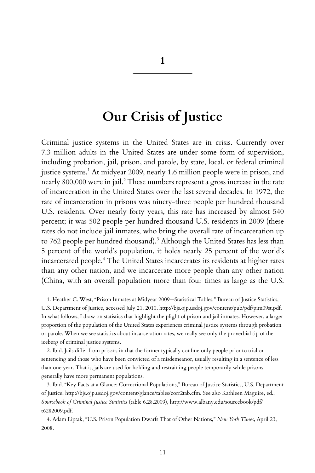**1**

# **Our Crisis of Justice**

Criminal justice systems in the United States are in crisis. Currently over 7.3 million adults in the United States are under some form of supervision, including probation, jail, prison, and parole, by state, local, or federal criminal justice systems.<sup>1</sup> At midyear 2009, nearly 1.6 million people were in prison, and nearly 800,000 were in jail.<sup>2</sup> These numbers represent a gross increase in the rate of incarceration in the United States over the last several decades. In 1972, the rate of incarceration in prisons was ninety-three people per hundred thousand U.S. residents. Over nearly forty years, this rate has increased by almost 540 percent; it was 502 people per hundred thousand U.S. residents in 2009 (these rates do not include jail inmates, who bring the overall rate of incarceration up to 762 people per hundred thousand).<sup>3</sup> Although the United States has less than 5 percent of the world's population, it holds nearly 25 percent of the world's incarcerated people.<sup>4</sup> The United States incarcerates its residents at higher rates than any other nation, and we incarcerate more people than any other nation (China, with an overall population more than four times as large as the U.S.

1. Heather C. West, "Prison Inmates at Midyear 2009—Statistical Tables," Bureau of Justice Statistics, U.S. Department of Justice, accessed July 21, 2010, http://bjs.ojp.usdoj.gov/content/pub/pdf/pim09st.pdf. In what follows, I draw on statistics that highlight the plight of prison and jail inmates. However, a larger proportion of the population of the United States experiences criminal justice systems through probation or parole. When we see statistics about incarceration rates, we really see only the proverbial tip of the iceberg of criminal justice systems.

2. Ibid. Jails differ from prisons in that the former typically confine only people prior to trial or sentencing and those who have been convicted of a misdemeanor, usually resulting in a sentence of less than one year. That is, jails are used for holding and restraining people temporarily while prisons generally have more permanent populations.

3. Ibid. "Key Facts at a Glance: Correctional Populations," Bureau of Justice Statistics, U.S. Department of Justice, http://bjs.ojp.usdoj.gov/content/glance/tables/corr2tab.cfm. See also Kathleen Maguire, ed., *Sourcebook of Criminal Justice Statistics* (table 6.28.2009), http://www.albany.edu/sourcebook/pdf/ t6282009.pdf.

4. Adam Liptak, "U.S. Prison Population Dwarfs That of Other Nations," *New York Times*, April 23, 2008.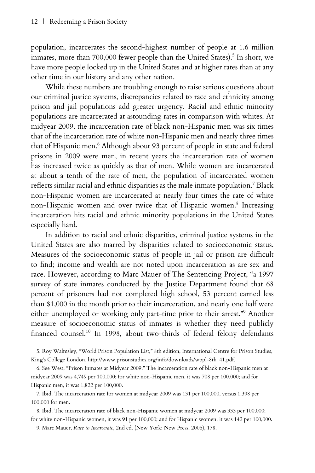population, incarcerates the second-highest number of people at 1.6 million inmates, more than 700,000 fewer people than the United States). $^5$  In short, we have more people locked up in the United States and at higher rates than at any other time in our history and any other nation.

While these numbers are troubling enough to raise serious questions about our criminal justice systems, discrepancies related to race and ethnicity among prison and jail populations add greater urgency. Racial and ethnic minority populations are incarcerated at astounding rates in comparison with whites. At midyear 2009, the incarceration rate of black non-Hispanic men was six times that of the incarceration rate of white non-Hispanic men and nearly three times that of Hispanic men.<sup>6</sup> Although about 93 percent of people in state and federal prisons in 2009 were men, in recent years the incarceration rate of women has increased twice as quickly as that of men. While women are incarcerated at about a tenth of the rate of men, the population of incarcerated women reflects similar racial and ethnic disparities as the male inmate population.<sup>7</sup> Black non-Hispanic women are incarcerated at nearly four times the rate of white non-Hispanic women and over twice that of Hispanic women.<sup>8</sup> Increasing incarceration hits racial and ethnic minority populations in the United States especially hard.

In addition to racial and ethnic disparities, criminal justice systems in the United States are also marred by disparities related to socioeconomic status. Measures of the socioeconomic status of people in jail or prison are difficult to find; income and wealth are not noted upon incarceration as are sex and race. However, according to Marc Mauer of The Sentencing Project, "a 1997 survey of state inmates conducted by the Justice Department found that 68 percent of prisoners had not completed high school, 53 percent earned less than \$1,000 in the month prior to their incarceration, and nearly one half were either unemployed or working only part-time prior to their arrest."<sup>9</sup> Another measure of socioeconomic status of inmates is whether they need publicly financed counsel.<sup>10</sup> In 1998, about two-thirds of federal felony defendants

5. Roy Walmsley, "World Prison Population List," 8th edition, International Centre for Prison Studies, King's College London, http://www.prisonstudies.org/info/downloads/wppl-8th\_41.pdf.

6. See West, "Prison Inmates at Midyear 2009." The incarceration rate of black non-Hispanic men at midyear 2009 was 4,749 per 100,000; for white non-Hispanic men, it was 708 per 100,000; and for Hispanic men, it was 1,822 per 100,000.

7. Ibid. The incarceration rate for women at midyear 2009 was 131 per 100,000, versus 1,398 per 100,000 for men.

8. Ibid. The incarceration rate of black non-Hispanic women at midyear 2009 was 333 per 100,000; for white non-Hispanic women, it was 91 per 100,000; and for Hispanic women, it was 142 per 100,000.

9. Marc Mauer, *Race to Incarcerate*, 2nd ed. (New York: New Press, 2006), 178.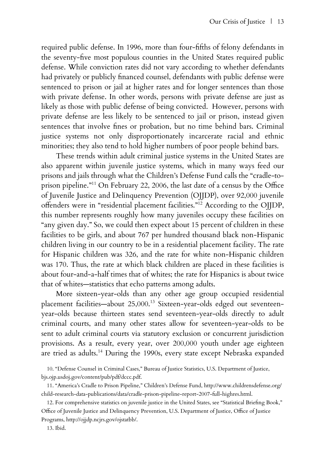required public defense. In 1996, more than four-fifths of felony defendants in the seventy-five most populous counties in the United States required public defense. While conviction rates did not vary according to whether defendants had privately or publicly financed counsel, defendants with public defense were sentenced to prison or jail at higher rates and for longer sentences than those with private defense. In other words, persons with private defense are just as likely as those with public defense of being convicted. However, persons with private defense are less likely to be sentenced to jail or prison, instead given sentences that involve fines or probation, but no time behind bars. Criminal justice systems not only disproportionately incarcerate racial and ethnic minorities; they also tend to hold higher numbers of poor people behind bars.

These trends within adult criminal justice systems in the United States are also apparent within juvenile justice systems, which in many ways feed our prisons and jails through what the Children's Defense Fund calls the "cradle-toprison pipeline."<sup>11</sup> On February 22, 2006, the last date of a census by the Office of Juvenile Justice and Delinquency Prevention (OJJDP), over 92,000 juvenile offenders were in "residential placement facilities."<sup>12</sup> According to the OJJDP, this number represents roughly how many juveniles occupy these facilities on "any given day." So, we could then expect about 15 percent of children in these facilities to be girls, and about 767 per hundred thousand black non-Hispanic children living in our country to be in a residential placement facility. The rate for Hispanic children was 326, and the rate for white non-Hispanic children was 170. Thus, the rate at which black children are placed in these facilities is about four-and-a-half times that of whites; the rate for Hispanics is about twice that of whites—statistics that echo patterns among adults.

More sixteen-year-olds than any other age group occupied residential placement facilities—about 25,000.<sup>13</sup> Sixteen-year-olds edged out seventeenyear-olds because thirteen states send seventeen-year-olds directly to adult criminal courts, and many other states allow for seventeen-year-olds to be sent to adult criminal courts via statutory exclusion or concurrent jurisdiction provisions. As a result, every year, over 200,000 youth under age eighteen are tried as adults.<sup>14</sup> During the 1990s, every state except Nebraska expanded

13. Ibid.

<sup>10.</sup> "Defense Counsel in Criminal Cases," Bureau of Justice Statistics, U.S. Department of Justice, bjs.ojp.usdoj.gov/content/pub/pdf/dccc.pdf.

<sup>11.</sup> "America's Cradle to Prison Pipeline," Children's Defense Fund, http://www.childrensdefense.org/ child-research-data-publications/data/cradle-prison-pipeline-report-2007-full-highres.html.

<sup>12.</sup> For comprehensive statistics on juvenile justice in the United States, see "Statistical Briefing Book," Office of Juvenile Justice and Delinquency Prevention, U.S. Department of Justice, Office of Justice Programs, http://ojjdp.ncjrs.gov/ojstatbb/.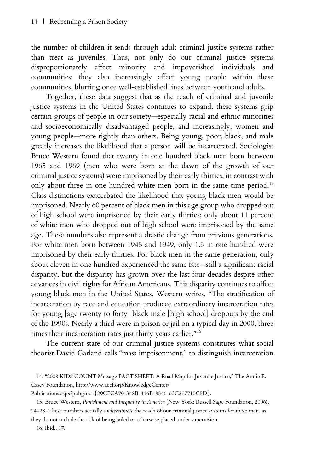the number of children it sends through adult criminal justice systems rather than treat as juveniles. Thus, not only do our criminal justice systems disproportionately affect minority and impoverished individuals and communities; they also increasingly affect young people within these communities, blurring once well-established lines between youth and adults.

Together, these data suggest that as the reach of criminal and juvenile justice systems in the United States continues to expand, these systems grip certain groups of people in our society—especially racial and ethnic minorities and socioeconomically disadvantaged people, and increasingly, women and young people—more tightly than others. Being young, poor, black, and male greatly increases the likelihood that a person will be incarcerated. Sociologist Bruce Western found that twenty in one hundred black men born between 1965 and 1969 (men who were born at the dawn of the growth of our criminal justice systems) were imprisoned by their early thirties, in contrast with only about three in one hundred white men born in the same time period.<sup>15</sup> Class distinctions exacerbated the likelihood that young black men would be imprisoned. Nearly 60 percent of black men in this age group who dropped out of high school were imprisoned by their early thirties; only about 11 percent of white men who dropped out of high school were imprisoned by the same age. These numbers also represent a drastic change from previous generations. For white men born between 1945 and 1949, only 1.5 in one hundred were imprisoned by their early thirties. For black men in the same generation, only about eleven in one hundred experienced the same fate—still a significant racial disparity, but the disparity has grown over the last four decades despite other advances in civil rights for African Americans. This disparity continues to affect young black men in the United States. Western writes, "The stratification of incarceration by race and education produced extraordinary incarceration rates for young [age twenty to forty] black male [high school] dropouts by the end of the 1990s. Nearly a third were in prison or jail on a typical day in 2000, three times their incarceration rates just thirty years earlier."<sup>16</sup>

The current state of our criminal justice systems constitutes what social theorist David Garland calls "mass imprisonment," to distinguish incarceration

they do not include the risk of being jailed or otherwise placed under supervision.

16. Ibid., 17.

<sup>14.</sup> "2008 KIDS COUNT Message FACT SHEET: A Road Map for Juvenile Justice," The Annie E. Casey Foundation, http://www.aecf.org/KnowledgeCenter/

Publications.aspx?pubguid={29CFCA70-348B-416B-8546-63C297710C5D}.

<sup>15.</sup> Bruce Western, *Punishment and Inequality in America* (New York: Russell Sage Foundation, 2006), 24–28. These numbers actually *underestimate* the reach of our criminal justice systems for these men, as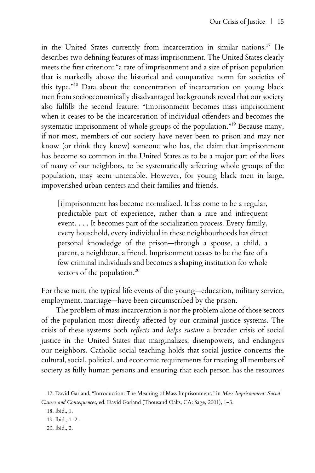in the United States currently from incarceration in similar nations.<sup>17</sup> He describes two defining features of mass imprisonment. The United States clearly meets the first criterion: "a rate of imprisonment and a size of prison population that is markedly above the historical and comparative norm for societies of this type."<sup>18</sup> Data about the concentration of incarceration on young black men from socioeconomically disadvantaged backgrounds reveal that our society also fulfills the second feature: "Imprisonment becomes mass imprisonment when it ceases to be the incarceration of individual offenders and becomes the systematic imprisonment of whole groups of the population."<sup>19</sup> Because many, if not most, members of our society have never been to prison and may not know (or think they know) someone who has, the claim that imprisonment has become so common in the United States as to be a major part of the lives of many of our neighbors, to be systematically affecting whole groups of the population, may seem untenable. However, for young black men in large, impoverished urban centers and their families and friends,

[i]mprisonment has become normalized. It has come to be a regular, predictable part of experience, rather than a rare and infrequent event. . . . It becomes part of the socialization process. Every family, every household, every individual in these neighbourhoods has direct personal knowledge of the prison—through a spouse, a child, a parent, a neighbour, a friend. Imprisonment ceases to be the fate of a few criminal individuals and becomes a shaping institution for whole sectors of the population.<sup>20</sup>

For these men, the typical life events of the young—education, military service, employment, marriage—have been circumscribed by the prison.

The problem of mass incarceration is not the problem alone of those sectors of the population most directly affected by our criminal justice systems. The crisis of these systems both *reflects* and *helps sustain* a broader crisis of social justice in the United States that marginalizes, disempowers, and endangers our neighbors. Catholic social teaching holds that social justice concerns the cultural, social, political, and economic requirements for treating all members of society as fully human persons and ensuring that each person has the resources

<sup>17.</sup> David Garland, "Introduction: The Meaning of Mass Imprisonment," in *Mass Imprisonment: Social Causes and Consequences*, ed. David Garland (Thousand Oaks, CA: Sage, 2001), 1–3.

<sup>18.</sup> Ibid., 1.

<sup>19.</sup> Ibid., 1–2.

<sup>20.</sup> Ibid., 2.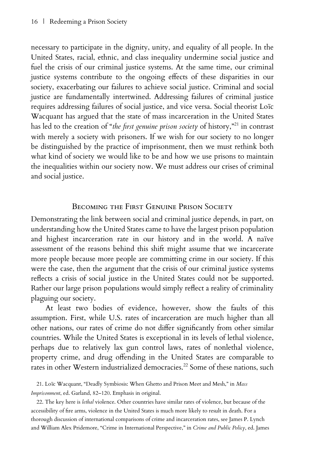necessary to participate in the dignity, unity, and equality of all people. In the United States, racial, ethnic, and class inequality undermine social justice and fuel the crisis of our criminal justice systems. At the same time, our criminal justice systems contribute to the ongoing effects of these disparities in our society, exacerbating our failures to achieve social justice. Criminal and social justice are fundamentally intertwined. Addressing failures of criminal justice requires addressing failures of social justice, and vice versa. Social theorist Loïc Wacquant has argued that the state of mass incarceration in the United States has led to the creation of "*the first genuine prison society* of history,"<sup>21</sup> in contrast with merely a society with prisoners. If we wish for our society to no longer be distinguished by the practice of imprisonment, then we must rethink both what kind of society we would like to be and how we use prisons to maintain the inequalities within our society now. We must address our crises of criminal and social justice.

#### BECOMING THE FIRST GENUINE PRISON SOCIETY

Demonstrating the link between social and criminal justice depends, in part, on understanding how the United States came to have the largest prison population and highest incarceration rate in our history and in the world. A naïve assessment of the reasons behind this shift might assume that we incarcerate more people because more people are committing crime in our society. If this were the case, then the argument that the crisis of our criminal justice systems reflects a crisis of social justice in the United States could not be supported. Rather our large prison populations would simply reflect a reality of criminality plaguing our society.

At least two bodies of evidence, however, show the faults of this assumption. First, while U.S. rates of incarceration are much higher than all other nations, our rates of crime do not differ significantly from other similar countries. While the United States is exceptional in its levels of lethal violence, perhaps due to relatively lax gun control laws, rates of nonlethal violence, property crime, and drug offending in the United States are comparable to rates in other Western industrialized democracies.<sup>22</sup> Some of these nations, such

21. Loïc Wacquant, "Deadly Symbiosis: When Ghetto and Prison Meet and Mesh," in *Mass Imprisonment*, ed. Garland, 82–120. Emphasis in original.

22. The key here is *lethal* violence. Other countries have similar rates of violence, but because of the accessibility of fire arms, violence in the United States is much more likely to result in death. For a thorough discussion of international comparisons of crime and incarceration rates, see James P. Lynch and William Alex Pridemore, "Crime in International Perspective," in *Crime and Public Policy*, ed. James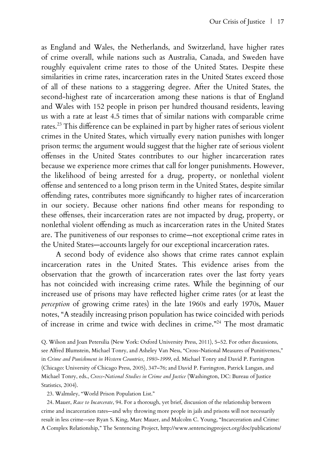as England and Wales, the Netherlands, and Switzerland, have higher rates of crime overall, while nations such as Australia, Canada, and Sweden have roughly equivalent crime rates to those of the United States. Despite these similarities in crime rates, incarceration rates in the United States exceed those of all of these nations to a staggering degree. After the United States, the second-highest rate of incarceration among these nations is that of England and Wales with 152 people in prison per hundred thousand residents, leaving us with a rate at least 4.5 times that of similar nations with comparable crime rates.<sup>23</sup> This difference can be explained in part by higher rates of serious violent crimes in the United States, which virtually every nation punishes with longer prison terms; the argument would suggest that the higher rate of serious violent offenses in the United States contributes to our higher incarceration rates because we experience more crimes that call for longer punishments. However, the likelihood of being arrested for a drug, property, or nonlethal violent offense and sentenced to a long prison term in the United States, despite similar offending rates, contributes more significantly to higher rates of incarceration in our society. Because other nations find other means for responding to these offenses, their incarceration rates are not impacted by drug, property, or nonlethal violent offending as much as incarceration rates in the United States are. The punitiveness of our responses to crime—not exceptional crime rates in the United States—accounts largely for our exceptional incarceration rates.

A second body of evidence also shows that crime rates cannot explain incarceration rates in the United States. This evidence arises from the observation that the growth of incarceration rates over the last forty years has not coincided with increasing crime rates. While the beginning of our increased use of prisons may have reflected higher crime rates (or at least the *perception* of growing crime rates) in the late 1960s and early 1970s, Mauer notes, "A steadily increasing prison population has twice coincided with periods of increase in crime and twice with declines in crime."<sup>24</sup> The most dramatic

Q. Wilson and Joan Petersilia (New York: Oxford University Press, 2011), 5–52. For other discussions, see Alfred Blumstein, Michael Tonry, and Asheley Van Ness, "Cross-National Measures of Punitiveness," in *Crime and Punishment in Western Countries, 1980-1999*, ed. Michael Tonry and David P. Farrington (Chicago: University of Chicago Press, 2005), 347–76; and David P. Farrington, Patrick Langan, and Michael Tonry, eds., *Cross-National Studies in Crime and Justice* (Washington, DC: Bureau of Justice Statistics, 2004).

23. Walmsley, "World Prison Population List."

24. Mauer, *Race to Incarcerate*, 94. For a thorough, yet brief, discussion of the relationship between crime and incarceration rates—and why throwing more people in jails and prisons will not necessarily result in less crime—see Ryan S. King, Marc Mauer, and Malcolm C. Young, "Incarceration and Crime: A Complex Relationship," The Sentencing Project, http://www.sentencingproject.org/doc/publications/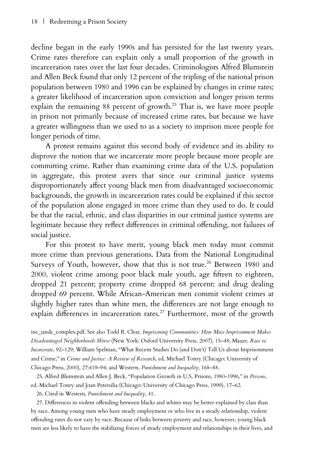decline began in the early 1990s and has persisted for the last twenty years. Crime rates therefore can explain only a small proportion of the growth in incarceration rates over the last four decades. Criminologists Alfred Blumstein and Allen Beck found that only 12 percent of the tripling of the national prison population between 1980 and 1996 can be explained by changes in crime rates; a greater likelihood of incarceration upon conviction and longer prison terms explain the remaining 88 percent of growth.<sup>25</sup> That is, we have more people in prison not primarily because of increased crime rates, but because we have a greater willingness than we used to as a society to imprison more people for longer periods of time.

A protest remains against this second body of evidence and its ability to disprove the notion that we incarcerate more people because more people are committing crime. Rather than examining crime data of the U.S. population in aggregate, this protest avers that since our criminal justice systems disproportionately affect young black men from disadvantaged socioeconomic backgrounds, the growth in incarceration rates could be explained if this sector of the population alone engaged in more crime than they used to do. It could be that the racial, ethnic, and class disparities in our criminal justice systems are legitimate because they reflect differences in criminal offending, not failures of social justice.

For this protest to have merit, young black men today must commit more crime than previous generations. Data from the National Longitudinal Surveys of Youth, however, show that this is not true.<sup>26</sup> Between 1980 and 2000, violent crime among poor black male youth, age fifteen to eighteen, dropped 21 percent; property crime dropped 68 percent; and drug dealing dropped 69 percent. While African-American men commit violent crimes at slightly higher rates than white men, the differences are not large enough to explain differences in incarceration rates.<sup>27</sup> Furthermore, most of the growth

inc\_iandc\_complex.pdf. See also Todd R. Clear, *Imprisoning Communities: How Mass Imprisonment Makes Disadvantaged Neighborhoods Worse* (New York: Oxford University Press, 2007), 15–48; Mauer, *Race to Incarcerate*, 92–129; William Spelman, "What Recent Studies Do (and Don't) Tell Us about Imprisonment and Crime," in *Crime and Justice: A Review of Research*, ed. Michael Tonry (Chicago: University of Chicago Press, 2000), 27:419–94; and Western, *Punishment and Inequality,* 168–88.

25. Alfred Blumstein and Allen J. Beck, "Population Growth in U.S. Prisons, 1980-1996," in *Prisons*, ed. Michael Tonry and Joan Petersilia (Chicago: University of Chicago Press, 1999), 17–62.

26. Cited in Western, *Punishment and Inequality*, 41.

27. Differences in violent offending between blacks and whites may be better explained by class than by race. Among young men who have steady employment or who live in a steady relationship, violent offending rates do not vary by race. Because of links between poverty and race, however, young black men are less likely to have the stabilizing forces of steady employment and relationships in their lives, and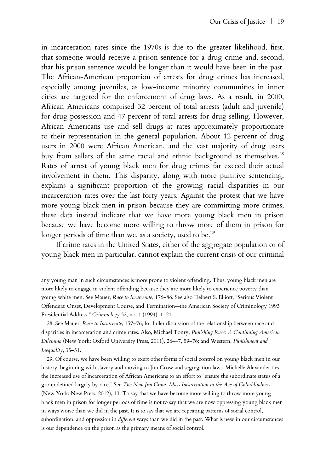in incarceration rates since the 1970s is due to the greater likelihood, first, that someone would receive a prison sentence for a drug crime and, second, that his prison sentence would be longer than it would have been in the past. The African-American proportion of arrests for drug crimes has increased, especially among juveniles, as low-income minority communities in inner cities are targeted for the enforcement of drug laws. As a result, in 2000, African Americans comprised 32 percent of total arrests (adult and juvenile) for drug possession and 47 percent of total arrests for drug selling. However, African Americans use and sell drugs at rates approximately proportionate to their representation in the general population. About 12 percent of drug users in 2000 were African American, and the vast majority of drug users buy from sellers of the same racial and ethnic background as themselves.<sup>28</sup> Rates of arrest of young black men for drug crimes far exceed their actual involvement in them. This disparity, along with more punitive sentencing, explains a significant proportion of the growing racial disparities in our incarceration rates over the last forty years. Against the protest that we have more young black men in prison because they are committing more crimes, these data instead indicate that we have more young black men in prison because we have become more willing to throw more of them in prison for longer periods of time than we, as a society, used to be.<sup>29</sup>

If crime rates in the United States, either of the aggregate population or of young black men in particular, cannot explain the current crisis of our criminal

any young man in such circumstances is more prone to violent offending. Thus, young black men are more likely to engage in violent offending because they are more likely to experience poverty than young white men. See Mauer, *Race to Incarcerate*, 176–86. See also Delbert S. Elliott, "Serious Violent Offenders: Onset, Development Course, and Termination—the American Society of Criminology 1993 Presidential Address," *Criminology* 32, no. 1 (1994): 1–21.

28. See Mauer, *Race to Incarcerate*, 157–76, for fuller discussion of the relationship between race and disparities in incarceration and crime rates. Also, Michael Tonry, *Punishing Race: A Continuing American Dilemma* (New York: Oxford University Press, 2011), 26–47, 59–76; and Western, *Punishment and Inequality*, 35–51.

29. Of course, we have been willing to exert other forms of social control on young black men in our history, beginning with slavery and moving to Jim Crow and segregation laws. Michelle Alexander ties the increased use of incarceration of African Americans to an effort to "ensure the subordinate status of a group defined largely by race." See *The New Jim Crow: Mass Incarceration in the Age of Colorblindness* (New York: New Press, 2012), 13. To say that we have become more willing to throw more young black men in prison for longer periods of time is not to say that we are now oppressing young black men in ways worse than we did in the past. It is to say that we are repeating patterns of social control, subordination, and oppression in *different* ways than we did in the past. What is new in our circumstances is our dependence on the prison as the primary means of social control.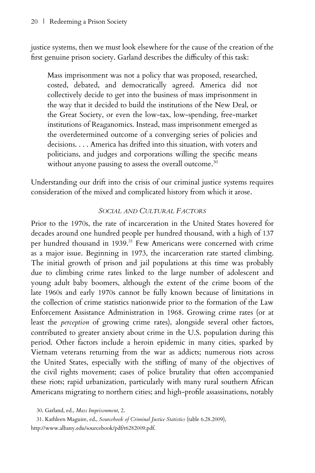justice systems, then we must look elsewhere for the cause of the creation of the first genuine prison society. Garland describes the difficulty of this task:

Mass imprisonment was not a policy that was proposed, researched, costed, debated, and democratically agreed. America did not collectively decide to get into the business of mass imprisonment in the way that it decided to build the institutions of the New Deal, or the Great Society, or even the low-tax, low-spending, free-market institutions of Reaganomics. Instead, mass imprisonment emerged as the overdetermined outcome of a converging series of policies and decisions. . . . America has drifted into this situation, with voters and politicians, and judges and corporations willing the specific means without anyone pausing to assess the overall outcome.<sup>30</sup>

Understanding our drift into the crisis of our criminal justice systems requires consideration of the mixed and complicated history from which it arose.

## *SOCIAL AND CULTURAL FACTORS*

Prior to the 1970s, the rate of incarceration in the United States hovered for decades around one hundred people per hundred thousand, with a high of 137 per hundred thousand in 1939.<sup>31</sup> Few Americans were concerned with crime as a major issue. Beginning in 1973, the incarceration rate started climbing. The initial growth of prison and jail populations at this time was probably due to climbing crime rates linked to the large number of adolescent and young adult baby boomers, although the extent of the crime boom of the late 1960s and early 1970s cannot be fully known because of limitations in the collection of crime statistics nationwide prior to the formation of the Law Enforcement Assistance Administration in 1968. Growing crime rates (or at least the *perception* of growing crime rates), alongside several other factors, contributed to greater anxiety about crime in the U.S. population during this period. Other factors include a heroin epidemic in many cities, sparked by Vietnam veterans returning from the war as addicts; numerous riots across the United States, especially with the stifling of many of the objectives of the civil rights movement; cases of police brutality that often accompanied these riots; rapid urbanization, particularly with many rural southern African Americans migrating to northern cities; and high-profile assassinations, notably

<sup>30.</sup> Garland, ed., *Mass Imprisonment*, 2.

<sup>31.</sup> Kathleen Maguire, ed., *Sourcebook of Criminal Justice Statistics* (table 6.28.2009), http://www.albany.edu/sourcebook/pdf/t6282009.pdf.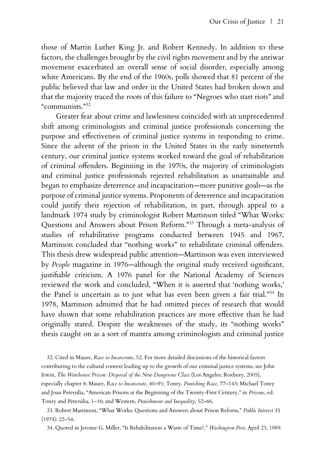those of Martin Luther King Jr. and Robert Kennedy. In addition to these factors, the challenges brought by the civil rights movement and by the antiwar movement exacerbated an overall sense of social disorder, especially among white Americans. By the end of the 1960s, polls showed that 81 percent of the public believed that law and order in the United States had broken down and that the majority traced the roots of this failure to "Negroes who start riots" and "communists."<sup>32</sup>

Greater fear about crime and lawlessness coincided with an unprecedented shift among criminologists and criminal justice professionals concerning the purpose and effectiveness of criminal justice systems in responding to crime. Since the advent of the prison in the United States in the early nineteenth century, our criminal justice systems worked toward the goal of rehabilitation of criminal offenders. Beginning in the 1970s, the majority of criminologists and criminal justice professionals rejected rehabilitation as unattainable and began to emphasize deterrence and incapacitation—more punitive goals—as the purpose of criminal justice systems. Proponents of deterrence and incapacitation could justify their rejection of rehabilitation, in part, through appeal to a landmark 1974 study by criminologist Robert Martinson titled "What Works: Questions and Answers about Prison Reform."<sup>33</sup> Through a meta-analysis of studies of rehabilitative programs conducted between 1945 and 1967, Martinson concluded that "nothing works" to rehabilitate criminal offenders. This thesis drew widespread public attention—Martinson was even interviewed by *People* magazine in 1976—although the original study received significant, justifiable criticism. A 1976 panel for the National Academy of Sciences reviewed the work and concluded, "When it is asserted that 'nothing works,' the Panel is uncertain as to just what has even been given a fair trial."<sup>34</sup> In 1978, Martinson admitted that he had omitted pieces of research that would have shown that some rehabilitation practices are more effective than he had originally stated. Despite the weaknesses of the study, its "nothing works" thesis caught on as a sort of mantra among criminologists and criminal justice

32. Cited in Mauer, *Race to Incarcerate*, 52. For more detailed discussions of the historical factors contributing to the cultural context leading up to the growth of our criminal justice systems, see John Irwin, *The Warehouse Prison: Disposal of the New Dangerous Class* (Los Angeles: Roxbury, 2005), especially chapter 8; Mauer, *Race to Incarcerate*, 40–91; Tonry, *Punishing Race*, 77–143; Michael Tonry and Joan Petersilia, "American Prisons at the Beginning of the Twenty-First Century," in *Prisons*, ed. Tonry and Petersilia, 1–16; and Western, *Punishment and Inequality*, 52–66.

33. Robert Martinson, "What Works: Questions and Answers about Prison Reform," *Public Interest* 35 (1974): 22–54.

34. Quoted in Jerome G. Miller, "Is Rehabilitation a Waste of Time?," *Washington Post*, April 23, 1989.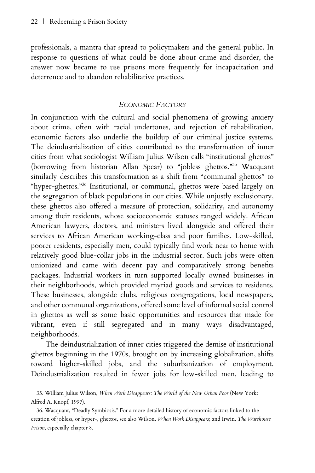professionals, a mantra that spread to policymakers and the general public. In response to questions of what could be done about crime and disorder, the answer now became to use prisons more frequently for incapacitation and deterrence and to abandon rehabilitative practices.

### *ECONOMIC FACTORS*

In conjunction with the cultural and social phenomena of growing anxiety about crime, often with racial undertones, and rejection of rehabilitation, economic factors also underlie the buildup of our criminal justice systems. The deindustrialization of cities contributed to the transformation of inner cities from what sociologist William Julius Wilson calls "institutional ghettos" (borrowing from historian Allan Spear) to "jobless ghettos."<sup>35</sup> Wacquant similarly describes this transformation as a shift from "communal ghettos" to "hyper-ghettos."<sup>36</sup> Institutional, or communal, ghettos were based largely on the segregation of black populations in our cities. While unjustly exclusionary, these ghettos also offered a measure of protection, solidarity, and autonomy among their residents, whose socioeconomic statuses ranged widely. African American lawyers, doctors, and ministers lived alongside and offered their services to African American working-class and poor families. Low-skilled, poorer residents, especially men, could typically find work near to home with relatively good blue-collar jobs in the industrial sector. Such jobs were often unionized and came with decent pay and comparatively strong benefits packages. Industrial workers in turn supported locally owned businesses in their neighborhoods, which provided myriad goods and services to residents. These businesses, alongside clubs, religious congregations, local newspapers, and other communal organizations, offered some level of informal social control in ghettos as well as some basic opportunities and resources that made for vibrant, even if still segregated and in many ways disadvantaged, neighborhoods.

The deindustrialization of inner cities triggered the demise of institutional ghettos beginning in the 1970s, brought on by increasing globalization, shifts toward higher-skilled jobs, and the suburbanization of employment. Deindustrialization resulted in fewer jobs for low-skilled men, leading to

36. Wacquant, "Deadly Symbiosis." For a more detailed history of economic factors linked to the creation of jobless, or hyper-, ghettos, see also Wilson, *When Work Disappears*; and Irwin, *The Warehouse Prison*, especially chapter 8.

<sup>35.</sup> William Julius Wilson, *When Work Disappears: The World of the New Urban Poor* (New York: Alfred A. Knopf, 1997).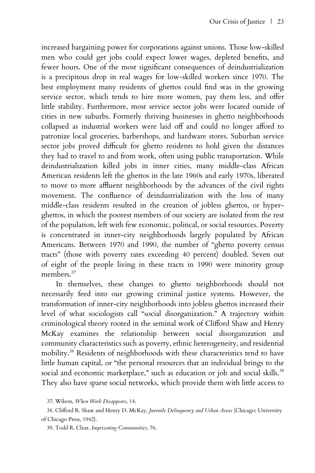increased bargaining power for corporations against unions. Those low-skilled men who could get jobs could expect lower wages, depleted benefits, and fewer hours. One of the most significant consequences of deindustrialization is a precipitous drop in real wages for low-skilled workers since 1970. The best employment many residents of ghettos could find was in the growing service sector, which tends to hire more women, pay them less, and offer little stability. Furthermore, most service sector jobs were located outside of cities in new suburbs. Formerly thriving businesses in ghetto neighborhoods collapsed as industrial workers were laid off and could no longer afford to patronize local groceries, barbershops, and hardware stores. Suburban service sector jobs proved difficult for ghetto residents to hold given the distances they had to travel to and from work, often using public transportation. While deindustrialization killed jobs in inner cities, many middle-class African American residents left the ghettos in the late 1960s and early 1970s, liberated to move to more affluent neighborhoods by the advances of the civil rights movement. The confluence of deindustrialization with the loss of many middle-class residents resulted in the creation of jobless ghettos, or hyperghettos, in which the poorest members of our society are isolated from the rest of the population, left with few economic, political, or social resources. Poverty is concentrated in inner-city neighborhoods largely populated by African Americans. Between 1970 and 1990, the number of "ghetto poverty census tracts" (those with poverty rates exceeding 40 percent) doubled. Seven out of eight of the people living in these tracts in 1990 were minority group members<sup>37</sup>

In themselves, these changes to ghetto neighborhoods should not necessarily feed into our growing criminal justice systems. However, the transformation of inner-city neighborhoods into jobless ghettos increased their level of what sociologists call "social disorganization." A trajectory within criminological theory rooted in the seminal work of Clifford Shaw and Henry McKay examines the relationship between social disorganization and community characteristics such as poverty, ethnic heterogeneity, and residential mobility.<sup>38</sup> Residents of neighborhoods with these characteristics tend to have little human capital, or "the personal resources that an individual brings to the social and economic marketplace," such as education or job and social skills.<sup>39</sup> They also have sparse social networks, which provide them with little access to

37. Wilson, *When Work Disappears*, 14.

39. Todd R. Clear, *Imprisoning Communities*, 76.

<sup>38.</sup> Clifford R. Shaw and Henry D. McKay, *Juvenile Delinquency and Urban Areas* (Chicago: University of Chicago Press, 1942).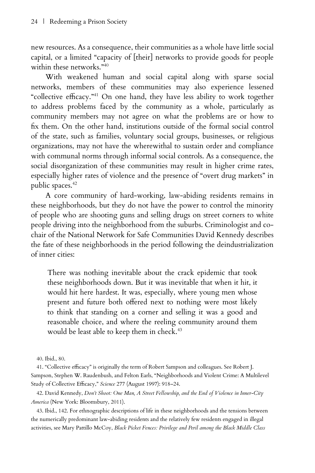new resources. As a consequence, their communities as a whole have little social capital, or a limited "capacity of [their] networks to provide goods for people within these networks."<sup>40</sup>

With weakened human and social capital along with sparse social networks, members of these communities may also experience lessened "collective efficacy."<sup>41</sup> On one hand, they have less ability to work together to address problems faced by the community as a whole, particularly as community members may not agree on what the problems are or how to fix them. On the other hand, institutions outside of the formal social control of the state, such as families, voluntary social groups, businesses, or religious organizations, may not have the wherewithal to sustain order and compliance with communal norms through informal social controls. As a consequence, the social disorganization of these communities may result in higher crime rates, especially higher rates of violence and the presence of "overt drug markets" in public spaces.<sup>42</sup>

A core community of hard-working, law-abiding residents remains in these neighborhoods, but they do not have the power to control the minority of people who are shooting guns and selling drugs on street corners to white people driving into the neighborhood from the suburbs. Criminologist and cochair of the National Network for Safe Communities David Kennedy describes the fate of these neighborhoods in the period following the deindustrialization of inner cities:

There was nothing inevitable about the crack epidemic that took these neighborhoods down. But it was inevitable that when it hit, it would hit here hardest. It was, especially, where young men whose present and future both offered next to nothing were most likely to think that standing on a corner and selling it was a good and reasonable choice, and where the reeling community around them would be least able to keep them in check.<sup>43</sup>

40. Ibid., 80.

41. "Collective efficacy" is originally the term of Robert Sampson and colleagues. See Robert J. Sampson, Stephen W. Raudenbush, and Felton Earls, "Neighborhoods and Violent Crime: A Multilevel Study of Collective Efficacy," *Science* 277 (August 1997): 918–24.

42. David Kennedy, *Don't Shoot: One Man, A Street Fellowship, and the End of Violence in Inner-City America* (New York: Bloomsbury, 2011).

43. Ibid., 142. For ethnographic descriptions of life in these neighborhoods and the tensions between the numerically predominant law-abiding residents and the relatively few residents engaged in illegal activities, see Mary Pattillo McCoy, *Black Picket Fences: Privilege and Peril among the Black Middle Class*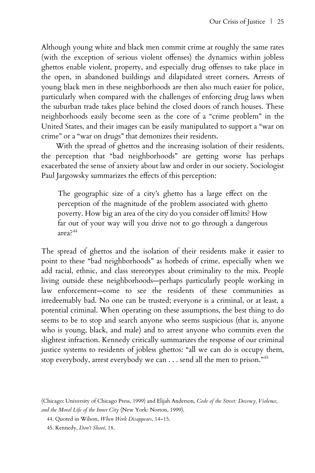Although young white and black men commit crime at roughly the same rates (with the exception of serious violent offenses) the dynamics within jobless ghettos enable violent, property, and especially drug offenses to take place in the open, in abandoned buildings and dilapidated street corners. Arrests of young black men in these neighborhoods are then also much easier for police, particularly when compared with the challenges of enforcing drug laws when the suburban trade takes place behind the closed doors of ranch houses. These neighborhoods easily become seen as the core of a "crime problem" in the United States, and their images can be easily manipulated to support a "war on crime" or a "war on drugs" that demonizes their residents.

With the spread of ghettos and the increasing isolation of their residents, the perception that "bad neighborhoods" are getting worse has perhaps exacerbated the sense of anxiety about law and order in our society. Sociologist Paul Jargowsky summarizes the effects of this perception:

The geographic size of a city's ghetto has a large effect on the perception of the magnitude of the problem associated with ghetto poverty. How big an area of the city do you consider off limits? How far out of your way will you drive not to go through a dangerous area?<sup>44</sup>

The spread of ghettos and the isolation of their residents make it easier to point to these "bad neighborhoods" as hotbeds of crime, especially when we add racial, ethnic, and class stereotypes about criminality to the mix. People living outside these neighborhoods—perhaps particularly people working in law enforcement—come to see the residents of these communities as irredeemably bad. No one can be trusted; everyone is a criminal, or at least, a potential criminal. When operating on these assumptions, the best thing to do seems to be to stop and search anyone who seems suspicious (that is, anyone who is young, black, and male) and to arrest anyone who commits even the slightest infraction. Kennedy critically summarizes the response of our criminal justice systems to residents of jobless ghettos: "all we can do is occupy them, stop everybody, arrest everybody we can . . . send all the men to prison."<sup>45</sup>

<sup>(</sup>Chicago: University of Chicago Press, 1999) and Elijah Anderson, *Code of the Street: Decency, Violence, and the Moral Life of the Inner City* (New York: Norton, 1999).

<sup>44.</sup> Quoted in Wilson, *When Work Disappears*, 14–15.

<sup>45.</sup> Kennedy, *Don't Shoot*, 18.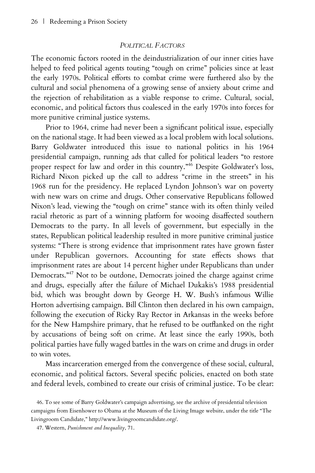### *POLITICAL FACTORS*

The economic factors rooted in the deindustrialization of our inner cities have helped to feed political agents touting "tough on crime" policies since at least the early 1970s. Political efforts to combat crime were furthered also by the cultural and social phenomena of a growing sense of anxiety about crime and the rejection of rehabilitation as a viable response to crime. Cultural, social, economic, and political factors thus coalesced in the early 1970s into forces for more punitive criminal justice systems.

Prior to 1964, crime had never been a significant political issue, especially on the national stage. It had been viewed as a local problem with local solutions. Barry Goldwater introduced this issue to national politics in his 1964 presidential campaign, running ads that called for political leaders "to restore proper respect for law and order in this country."<sup>46</sup> Despite Goldwater's loss, Richard Nixon picked up the call to address "crime in the streets" in his 1968 run for the presidency. He replaced Lyndon Johnson's war on poverty with new wars on crime and drugs. Other conservative Republicans followed Nixon's lead, viewing the "tough on crime" stance with its often thinly veiled racial rhetoric as part of a winning platform for wooing disaffected southern Democrats to the party. In all levels of government, but especially in the states, Republican political leadership resulted in more punitive criminal justice systems: "There is strong evidence that imprisonment rates have grown faster under Republican governors. Accounting for state effects shows that imprisonment rates are about 14 percent higher under Republicans than under Democrats."<sup>47</sup> Not to be outdone, Democrats joined the charge against crime and drugs, especially after the failure of Michael Dukakis's 1988 presidential bid, which was brought down by George H. W. Bush's infamous Willie Horton advertising campaign. Bill Clinton then declared in his own campaign, following the execution of Ricky Ray Rector in Arkansas in the weeks before for the New Hampshire primary, that he refused to be outflanked on the right by accusations of being soft on crime. At least since the early 1990s, both political parties have fully waged battles in the wars on crime and drugs in order to win votes.

Mass incarceration emerged from the convergence of these social, cultural, economic, and political factors. Several specific policies, enacted on both state and federal levels, combined to create our crisis of criminal justice. To be clear:

<sup>46.</sup> To see some of Barry Goldwater's campaign advertising, see the archive of presidential television campaigns from Eisenhower to Obama at the Museum of the Living Image website, under the title "The Livingroom Candidate," http://www.livingroomcandidate.org/.

<sup>47.</sup> Western, *Punishment and Inequality*, 71.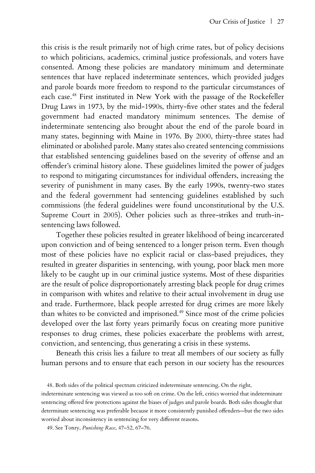this crisis is the result primarily not of high crime rates, but of policy decisions to which politicians, academics, criminal justice professionals, and voters have consented. Among these policies are mandatory minimum and determinate sentences that have replaced indeterminate sentences, which provided judges and parole boards more freedom to respond to the particular circumstances of each case.<sup>48</sup> First instituted in New York with the passage of the Rockefeller Drug Laws in 1973, by the mid-1990s, thirty-five other states and the federal government had enacted mandatory minimum sentences. The demise of indeterminate sentencing also brought about the end of the parole board in many states, beginning with Maine in 1976. By 2000, thirty-three states had eliminated or abolished parole. Many states also created sentencing commissions that established sentencing guidelines based on the severity of offense and an offender's criminal history alone. These guidelines limited the power of judges to respond to mitigating circumstances for individual offenders, increasing the severity of punishment in many cases. By the early 1990s, twenty-two states and the federal government had sentencing guidelines established by such commissions (the federal guidelines were found unconstitutional by the U.S. Supreme Court in 2005). Other policies such as three-strikes and truth-insentencing laws followed.

Together these policies resulted in greater likelihood of being incarcerated upon conviction and of being sentenced to a longer prison term. Even though most of these policies have no explicit racial or class-based prejudices, they resulted in greater disparities in sentencing, with young, poor black men more likely to be caught up in our criminal justice systems. Most of these disparities are the result of police disproportionately arresting black people for drug crimes in comparison with whites and relative to their actual involvement in drug use and trade. Furthermore, black people arrested for drug crimes are more likely than whites to be convicted and imprisoned.<sup>49</sup> Since most of the crime policies developed over the last forty years primarily focus on creating more punitive responses to drug crimes, these policies exacerbate the problems with arrest, conviction, and sentencing, thus generating a crisis in these systems.

Beneath this crisis lies a failure to treat all members of our society as fully human persons and to ensure that each person in our society has the resources

indeterminate sentencing was viewed as too soft on crime. On the left, critics worried that indeterminate sentencing offered few protections against the biases of judges and parole boards. Both sides thought that determinate sentencing was preferable because it more consistently punished offenders—but the two sides worried about inconsistency in sentencing for very different reasons.

49. See Tonry, *Punishing Race*, 47–52, 67–76.

<sup>48.</sup> Both sides of the political spectrum criticized indeterminate sentencing. On the right,